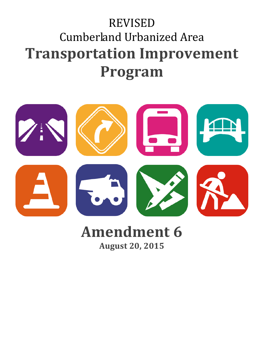# REVISED Cumberland Urbanized Area **Transportation Improvement Program**



# **Amendment 6 August 20, 2015**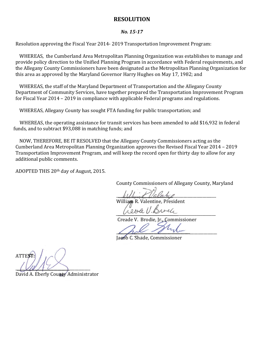#### **RESOLUTION**

#### *No. 15-17*

Resolution approving the Fiscal Year 2014- 2019 Transportation Improvement Program:

WHEREAS, the Cumberland Area Metropolitan Planning Organization was establishes to manage and provide policy direction to the Unified Planning Program in accordance with Federal requirements, and the Allegany County Commissioners have been designated as the Metropolitan Planning Organization for this area as approved by the Maryland Governor Harry Hughes on May 17, 1982; and

WHEREAS, the staff of the Maryland Department of Transportation and the Allegany County Department of Community Services, have together prepared the Transportation Improvement Program for Fiscal Year 2014 – 2019 in compliance with applicable Federal programs and regulations.

WHEREAS, Allegany County has sought FTA funding for public transportation; and

 WHEREAS, the operating assistance for transit services has been amended to add \$16,932 in federal funds, and to subtract \$93,088 in matching funds; and

NOW, THEREFORE, BE IT RESOLVED that the Allegany County Commissioners acting as the Cumberland Area Metropolitan Planning Organization approves the Revised Fiscal Year 2014 – 2019 Transportation Improvement Program, and will keep the record open for thirty day to allow for any additional public comments.

ADOPTED THIS 20th day of August, 2015.

County Commissioners of Allegany County, Maryland

 $\mu_M$ 

William R. Valentine, President

 $UUU = UUUU = UUU$ 

Creade V. Brodie, Jr., Commissioner

 $\frac{1}{2}$ 

Jacob C. Shade, Commissioner

ATTEST:  $\frac{1}{2}$ 

David A. Eberly County Administrator